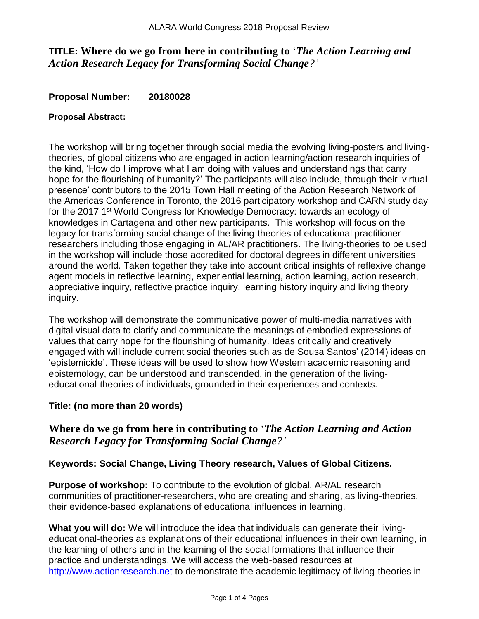# **TITLE: Where do we go from here in contributing to** '*The Action Learning and Action Research Legacy for Transforming Social Change?'*

## **Proposal Number: 20180028**

### **Proposal Abstract:**

The workshop will bring together through social media the evolving living-posters and livingtheories, of global citizens who are engaged in action learning/action research inquiries of the kind, 'How do I improve what I am doing with values and understandings that carry hope for the flourishing of humanity?' The participants will also include, through their 'virtual presence' contributors to the 2015 Town Hall meeting of the Action Research Network of the Americas Conference in Toronto, the 2016 participatory workshop and CARN study day for the 2017 1st World Congress for Knowledge Democracy: towards an ecology of knowledges in Cartagena and other new participants. This workshop will focus on the legacy for transforming social change of the living-theories of educational practitioner researchers including those engaging in AL/AR practitioners. The living-theories to be used in the workshop will include those accredited for doctoral degrees in different universities around the world. Taken together they take into account critical insights of reflexive change agent models in reflective learning, experiential learning, action learning, action research, appreciative inquiry, reflective practice inquiry, learning history inquiry and living theory inquiry.

The workshop will demonstrate the communicative power of multi-media narratives with digital visual data to clarify and communicate the meanings of embodied expressions of values that carry hope for the flourishing of humanity. Ideas critically and creatively engaged with will include current social theories such as de Sousa Santos' (2014) ideas on 'epistemicide'. These ideas will be used to show how Western academic reasoning and epistemology, can be understood and transcended, in the generation of the livingeducational-theories of individuals, grounded in their experiences and contexts.

### **Title: (no more than 20 words)**

# **Where do we go from here in contributing to** '*The Action Learning and Action Research Legacy for Transforming Social Change?'*

### **Keywords: Social Change, Living Theory research, Values of Global Citizens.**

**Purpose of workshop:** To contribute to the evolution of global, AR/AL research communities of practitioner-researchers, who are creating and sharing, as living-theories, their evidence-based explanations of educational influences in learning.

**What you will do:** We will introduce the idea that individuals can generate their livingeducational-theories as explanations of their educational influences in their own learning, in the learning of others and in the learning of the social formations that influence their practice and understandings. We will access the web-based resources at [http://www.actionresearch.net](http://www.actionresearch.net/) to demonstrate the academic legitimacy of living-theories in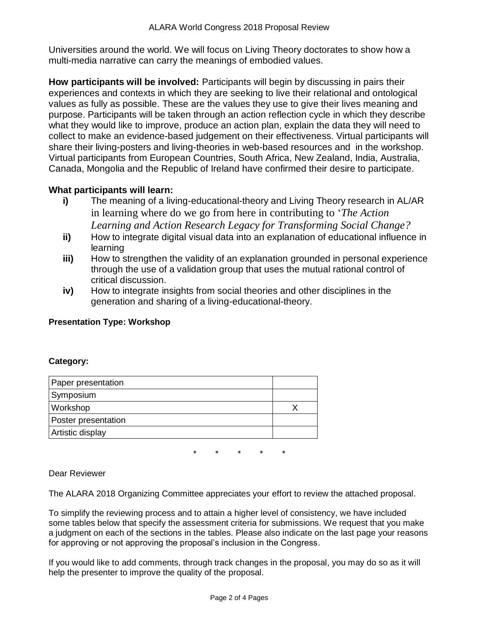Universities around the world. We will focus on Living Theory doctorates to show how a multi-media narrative can carry the meanings of embodied values.

**How participants will be involved:** Participants will begin by discussing in pairs their experiences and contexts in which they are seeking to live their relational and ontological values as fully as possible. These are the values they use to give their lives meaning and purpose. Participants will be taken through an action reflection cycle in which they describe what they would like to improve, produce an action plan, explain the data they will need to collect to make an evidence-based judgement on their effectiveness. Virtual participants will share their living-posters and living-theories in web-based resources and in the workshop. Virtual participants from European Countries, South Africa, New Zealand, India, Australia, Canada, Mongolia and the Republic of Ireland have confirmed their desire to participate.

## **What participants will learn:**

- **i)** The meaning of a living-educational-theory and Living Theory research in AL/AR in learning where do we go from here in contributing to '*The Action Learning and Action Research Legacy for Transforming Social Change?*
- **ii)** How to integrate digital visual data into an explanation of educational influence in learning
- **iii)** How to strengthen the validity of an explanation grounded in personal experience through the use of a validation group that uses the mutual rational control of critical discussion.
- **iv)** How to integrate insights from social theories and other disciplines in the generation and sharing of a living-educational-theory.

### **Presentation Type: Workshop**

#### **Category:**

| Paper presentation  |  |
|---------------------|--|
| Symposium           |  |
| Workshop            |  |
| Poster presentation |  |
| Artistic display    |  |

\* \* \* \* \*

#### Dear Reviewer

The ALARA 2018 Organizing Committee appreciates your effort to review the attached proposal.

To simplify the reviewing process and to attain a higher level of consistency, we have included some tables below that specify the assessment criteria for submissions. We request that you make a judgment on each of the sections in the tables. Please also indicate on the last page your reasons for approving or not approving the proposal's inclusion in the Congress.

If you would like to add comments, through track changes in the proposal, you may do so as it will help the presenter to improve the quality of the proposal.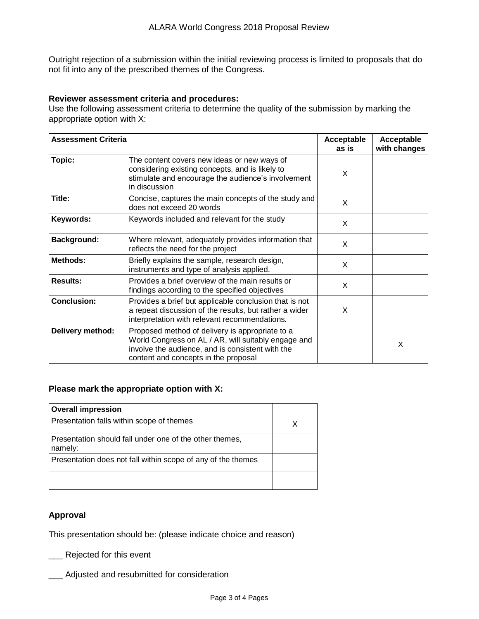Outright rejection of a submission within the initial reviewing process is limited to proposals that do not fit into any of the prescribed themes of the Congress.

#### **Reviewer assessment criteria and procedures:**

Use the following assessment criteria to determine the quality of the submission by marking the appropriate option with X:

| <b>Assessment Criteria</b> |                                                                                                                                                                                                    | Acceptable<br>as is | Acceptable<br>with changes |
|----------------------------|----------------------------------------------------------------------------------------------------------------------------------------------------------------------------------------------------|---------------------|----------------------------|
| Topic:                     | The content covers new ideas or new ways of<br>considering existing concepts, and is likely to<br>stimulate and encourage the audience's involvement<br>in discussion                              | X                   |                            |
| Title:                     | Concise, captures the main concepts of the study and<br>does not exceed 20 words                                                                                                                   | X                   |                            |
| Keywords:                  | Keywords included and relevant for the study                                                                                                                                                       | X                   |                            |
| <b>Background:</b>         | Where relevant, adequately provides information that<br>reflects the need for the project                                                                                                          | X                   |                            |
| <b>Methods:</b>            | Briefly explains the sample, research design,<br>instruments and type of analysis applied.                                                                                                         | X                   |                            |
| <b>Results:</b>            | Provides a brief overview of the main results or<br>findings according to the specified objectives                                                                                                 | X                   |                            |
| <b>Conclusion:</b>         | Provides a brief but applicable conclusion that is not<br>a repeat discussion of the results, but rather a wider<br>interpretation with relevant recommendations.                                  | X                   |                            |
| Delivery method:           | Proposed method of delivery is appropriate to a<br>World Congress on AL / AR, will suitably engage and<br>involve the audience, and is consistent with the<br>content and concepts in the proposal |                     | X                          |

#### **Please mark the appropriate option with X:**

| <b>Overall impression</b>                                          |  |
|--------------------------------------------------------------------|--|
| Presentation falls within scope of themes                          |  |
| Presentation should fall under one of the other themes,<br>namely: |  |
| Presentation does not fall within scope of any of the themes       |  |
|                                                                    |  |

#### **Approval**

This presentation should be: (please indicate choice and reason)

\_\_\_ Rejected for this event

\_\_\_ Adjusted and resubmitted for consideration